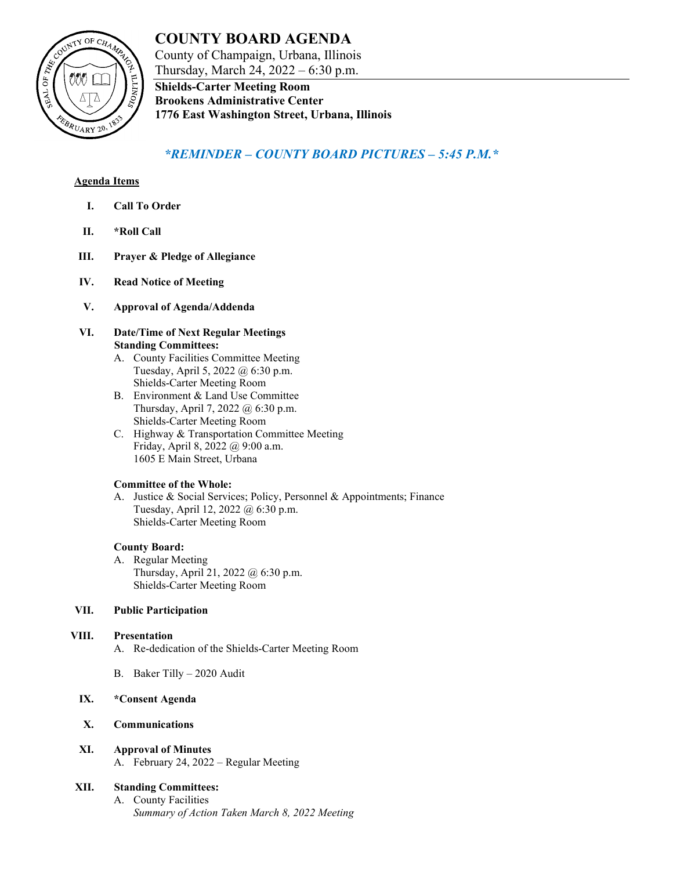## **COUNTY BOARD AGENDA**  County of Champaign, Urbana, Illinois

COUNTY OF CHAMPS ØØØ [ **TAL OF** EBRUARY 20

Thursday, March 24, 2022 – 6:30 p.m. **Shields-Carter Meeting Room Brookens Administrative Center**

# **1776 East Washington Street, Urbana, Illinois**

## *\*REMINDER – COUNTY BOARD PICTURES – 5:45 P.M.\**

## **Agenda Items**

- **I. Call To Order**
- **II. \*Roll Call**
- **III. Prayer & Pledge of Allegiance**
- **IV. Read Notice of Meeting**
- **V. Approval of Agenda/Addenda**
- **VI. Date/Time of Next Regular Meetings Standing Committees:**
	- A. County Facilities Committee Meeting Tuesday, April 5, 2022 @ 6:30 p.m. Shields-Carter Meeting Room
	- B. Environment & Land Use Committee Thursday, April 7, 2022 @ 6:30 p.m. Shields-Carter Meeting Room
	- C. Highway & Transportation Committee Meeting Friday, April 8, 2022 @ 9:00 a.m. 1605 E Main Street, Urbana

## **Committee of the Whole:**

A. Justice & Social Services; Policy, Personnel & Appointments; Finance Tuesday, April 12, 2022 @ 6:30 p.m. Shields-Carter Meeting Room

## **County Board:**

A. Regular Meeting Thursday, April 21, 2022 @ 6:30 p.m. Shields-Carter Meeting Room

## **VII. Public Participation**

## **VIII. Presentation**

- A. Re-dedication of the Shields-Carter Meeting Room
- B. Baker Tilly 2020 Audit
- **IX. \*Consent Agenda**
- **X. Communications**
- **XI. Approval of Minutes** A. February 24, 2022 – Regular Meeting

## **XII. Standing Committees:**

A. County Facilities *Summary of Action Taken March 8, 2022 Meeting*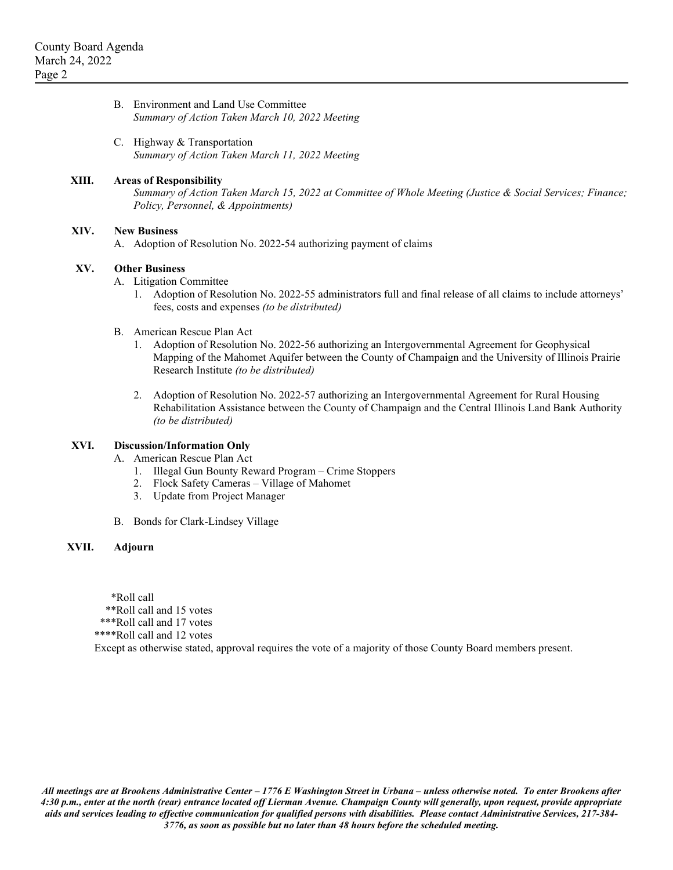| B. Environment and Land Use Committee          |
|------------------------------------------------|
| Summary of Action Taken March 10, 2022 Meeting |

C. Highway & Transportation *Summary of Action Taken March 11, 2022 Meeting*

#### **XIII. Areas of Responsibility**

*Summary of Action Taken March 15, 2022 at Committee of Whole Meeting (Justice & Social Services; Finance; Policy, Personnel, & Appointments)*

#### **XIV. New Business**

A. Adoption of Resolution No. 2022-54 authorizing payment of claims

#### **XV. Other Business**

- A. Litigation Committee
	- 1. Adoption of Resolution No. 2022-55 administrators full and final release of all claims to include attorneys' fees, costs and expenses *(to be distributed)*
- B. American Rescue Plan Act
	- 1. Adoption of Resolution No. 2022-56 authorizing an Intergovernmental Agreement for Geophysical Mapping of the Mahomet Aquifer between the County of Champaign and the University of Illinois Prairie Research Institute *(to be distributed)*
	- 2. Adoption of Resolution No. 2022-57 authorizing an Intergovernmental Agreement for Rural Housing Rehabilitation Assistance between the County of Champaign and the Central Illinois Land Bank Authority *(to be distributed)*

#### **XVI. Discussion/Information Only**

- A. American Rescue Plan Act
	- 1. Illegal Gun Bounty Reward Program Crime Stoppers
	- 2. Flock Safety Cameras Village of Mahomet
	- 3. Update from Project Manager
- B. Bonds for Clark-Lindsey Village

### **XVII. Adjourn**

\*Roll call

\*\*Roll call and 15 votes

\*\*\*Roll call and 17 votes

\*\*\*\*Roll call and 12 votes

Except as otherwise stated, approval requires the vote of a majority of those County Board members present.